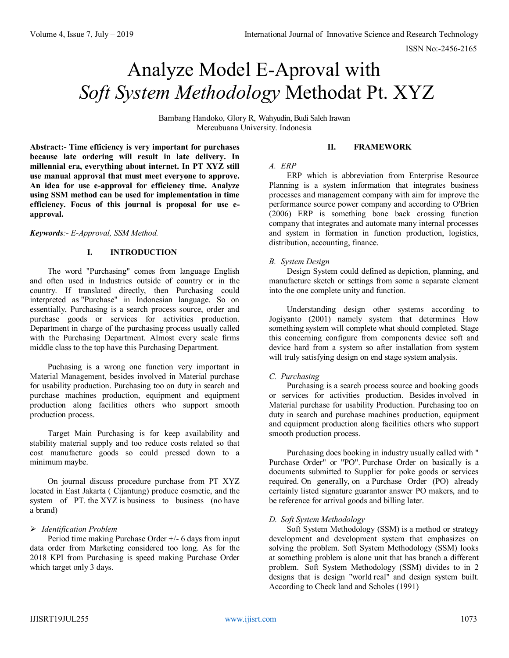# Analyze Model E-Aproval with *Soft System Methodology* Methodat Pt. XYZ

Bambang Handoko, Glory R, Wahyudin, Budi Saleh Irawan Mercubuana University. Indonesia

**Abstract:- Time efficiency is very important for purchases because late ordering will result in late delivery. In millennial era, everything about internet. In PT XYZ still use manual approval that must meet everyone to approve. An idea for use e-approval for efficiency time. Analyze using SSM method can be used for implementation in time efficiency. Focus of this journal is proposal for use eapproval.**

# *Keywords:- E-Approval, SSM Method.*

# **I. INTRODUCTION**

The word "Purchasing" comes from language English and often used in Industries outside of country or in the country. If translated directly, then Purchasing could interpreted as "Purchase" in Indonesian language. So on essentially, Purchasing is a search process source, order and purchase goods or services for activities production. Department in charge of the purchasing process usually called with the Purchasing Department. Almost every scale firms middle class to the top have this Purchasing Department.

Puchasing is a wrong one function very important in Material Management, besides involved in Material purchase for usability production. Purchasing too on duty in search and purchase machines production, equipment and equipment production along facilities others who support smooth production process.

Target Main Purchasing is for keep availability and stability material supply and too reduce costs related so that cost manufacture goods so could pressed down to a minimum maybe.

On journal discuss procedure purchase from PT XYZ located in East Jakarta ( Cijantung) produce cosmetic, and the system of PT. the XYZ is business to business (no have a brand)

# *Identification Problem*

Period time making Purchase Order +/- 6 days from input data order from Marketing considered too long. As for the 2018 KPI from Purchasing is speed making Purchase Order which target only 3 days.

# **II. FRAMEWORK**

#### *A. ERP*

ERP which is abbreviation from Enterprise Resource Planning is a system information that integrates business processes and management company with aim for improve the performance source power company and according to O'Brien (2006) ERP is something bone back crossing function company that integrates and automate many internal processes and system in formation in function production, logistics, distribution, accounting, finance.

#### *B. System Design*

Design System could defined as depiction, planning, and manufacture sketch or settings from some a separate element into the one complete unity and function.

Understanding design other systems according to Jogiyanto (2001) namely system that determines How something system will complete what should completed. Stage this concerning configure from components device soft and device hard from a system so after installation from system will truly satisfying design on end stage system analysis.

#### *C. Purchasing*

Purchasing is a search process source and booking goods or services for activities production. Besides involved in Material purchase for usability Production. Purchasing too on duty in search and purchase machines production, equipment and equipment production along facilities others who support smooth production process.

Purchasing does booking in industry usually called with " Purchase Order" or "PO". Purchase Order on basically is a documents submitted to Supplier for poke goods or services required. On generally, on a Purchase Order (PO) already certainly listed signature guarantor answer PO makers, and to be reference for arrival goods and billing later.

#### *D. Soft System Methodology*

Soft System Methodology (SSM) is a method or strategy development and development system that emphasizes on solving the problem. Soft System Methodology (SSM) looks at something problem is alone unit that has branch a different problem. Soft System Methodology (SSM) divides to in 2 designs that is design "world real" and design system built. According to Check land and Scholes (1991)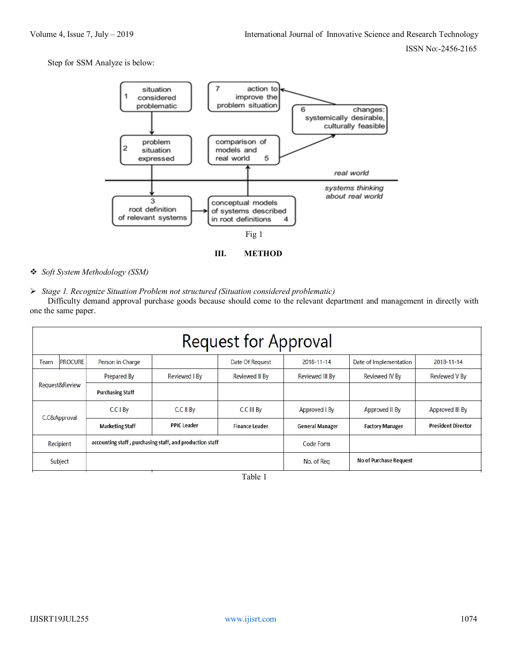Step for SSM Analyze is below:



*Soft System Methodology (SSM)*

*Stage 1. Recognize Situation Problem not structured (Situation considered problematic)*

Difficulty demand approval purchase goods because should come to the relevant department and management in directly with one the same paper.

| <b>Request for Approval</b> |                |                                                          |                    |                       |                        |                        |                           |  |  |
|-----------------------------|----------------|----------------------------------------------------------|--------------------|-----------------------|------------------------|------------------------|---------------------------|--|--|
| Team                        | <b>PROCURE</b> | Person in Charge                                         |                    | Date Of Request       | $2018 - 11 - 14$       | Date of Implementation | $2018 - 11 - 14$          |  |  |
| Request&Review              |                | Prepared By                                              | Reviewed I By      | <b>Reviewed II By</b> | <b>Reviewed III By</b> | <b>Reviewed IV By</b>  | <b>Reviewed V By</b>      |  |  |
|                             |                | <b>Purchasing Staff</b>                                  |                    |                       |                        |                        |                           |  |  |
| C.C&Approval                |                | C.C I By                                                 | C.C II By          | C.C III By            | Approved I By          | Approved II By         | Approved III By           |  |  |
|                             |                | <b>Marketing Staff</b>                                   | <b>PPIC Leader</b> | <b>Finance Leader</b> | <b>General Manager</b> | <b>Factory Manager</b> | <b>President Director</b> |  |  |
| Recipient                   |                | accounting staff, purchasing staff, and production staff |                    |                       | Code Form              |                        |                           |  |  |
| Subject                     |                |                                                          |                    |                       | No. of Reg             | No of Purchase Request |                           |  |  |

Table 1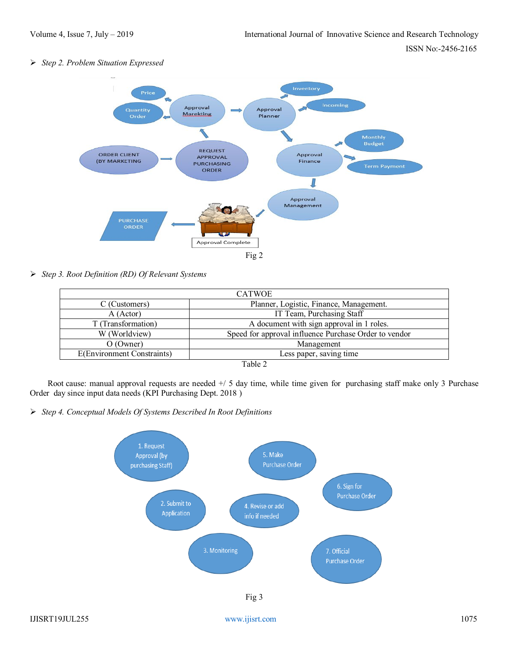*Step 2. Problem Situation Expressed*



*Step 3. Root Definition (RD) Of Relevant Systems*

| <b>CATWOE</b>              |                                                       |  |  |  |
|----------------------------|-------------------------------------------------------|--|--|--|
| C (Customers)              | Planner, Logistic, Finance, Management.               |  |  |  |
| A (Actor)                  | IT Team, Purchasing Staff                             |  |  |  |
| T (Transformation)         | A document with sign approval in 1 roles.             |  |  |  |
| W (Worldview)              | Speed for approval influence Purchase Order to vendor |  |  |  |
| $O (O$ wner)               | Management                                            |  |  |  |
| E(Environment Constraints) | Less paper, saving time                               |  |  |  |
| Table 2                    |                                                       |  |  |  |

Root cause: manual approval requests are needed +/ 5 day time, while time given for purchasing staff make only 3 Purchase Order day since input data needs (KPI Purchasing Dept. 2018 )

*Step 4. Conceptual Models Of Systems Described In Root Definitions*